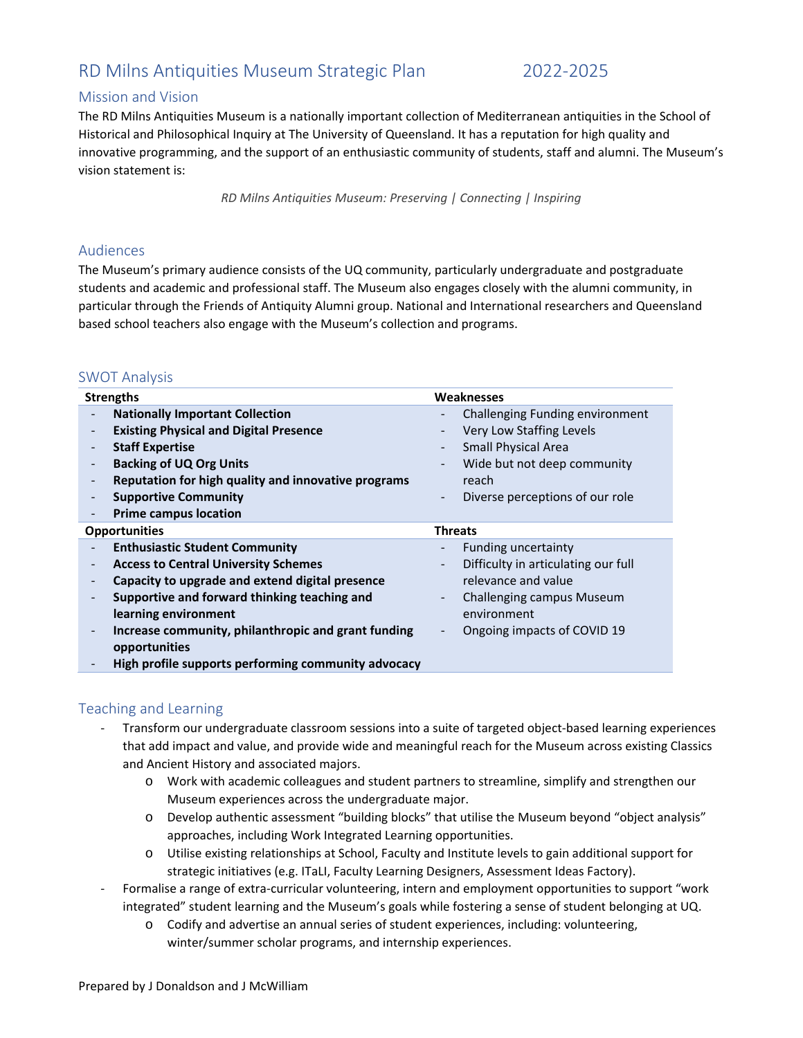# RD Milns Antiquities Museum Strategic Plan 2022‐2025

### Mission and Vision

The RD Milns Antiquities Museum is a nationally important collection of Mediterranean antiquities in the School of Historical and Philosophical Inquiry at The University of Queensland. It has a reputation for high quality and innovative programming, and the support of an enthusiastic community of students, staff and alumni. The Museum's vision statement is:

*RD Milns Antiquities Museum: Preserving | Connecting | Inspiring* 

#### Audiences

The Museum's primary audience consists of the UQ community, particularly undergraduate and postgraduate students and academic and professional staff. The Museum also engages closely with the alumni community, in particular through the Friends of Antiquity Alumni group. National and International researchers and Queensland based school teachers also engage with the Museum's collection and programs.

#### SWOT Analysis

| <b>Strengths</b>                                                                                                                                                                                                                                                                                                                                                           | <b>Weaknesses</b>                                                                                                                                                                        |
|----------------------------------------------------------------------------------------------------------------------------------------------------------------------------------------------------------------------------------------------------------------------------------------------------------------------------------------------------------------------------|------------------------------------------------------------------------------------------------------------------------------------------------------------------------------------------|
| <b>Nationally Important Collection</b><br>$\overline{\phantom{a}}$<br><b>Existing Physical and Digital Presence</b><br><b>Staff Expertise</b><br><b>Backing of UQ Org Units</b>                                                                                                                                                                                            | Challenging Funding environment<br>Very Low Staffing Levels<br><b>Small Physical Area</b><br>Wide but not deep community                                                                 |
| Reputation for high quality and innovative programs<br><b>Supportive Community</b><br><b>Prime campus location</b>                                                                                                                                                                                                                                                         | reach<br>Diverse perceptions of our role<br>$\blacksquare$                                                                                                                               |
| <b>Opportunities</b>                                                                                                                                                                                                                                                                                                                                                       | <b>Threats</b>                                                                                                                                                                           |
| <b>Enthusiastic Student Community</b><br><b>Access to Central University Schemes</b><br>$\overline{\phantom{a}}$<br>Capacity to upgrade and extend digital presence<br>Supportive and forward thinking teaching and<br>learning environment<br>Increase community, philanthropic and grant funding<br>opportunities<br>High profile supports performing community advocacy | Funding uncertainty<br>Difficulty in articulating our full<br>$\blacksquare$<br>relevance and value<br>Challenging campus Museum<br>$\sim$<br>environment<br>Ongoing impacts of COVID 19 |

### Teaching and Learning

- ‐ Transform our undergraduate classroom sessions into a suite of targeted object‐based learning experiences that add impact and value, and provide wide and meaningful reach for the Museum across existing Classics and Ancient History and associated majors.
	- o Work with academic colleagues and student partners to streamline, simplify and strengthen our Museum experiences across the undergraduate major.
	- o Develop authentic assessment "building blocks" that utilise the Museum beyond "object analysis" approaches, including Work Integrated Learning opportunities.
	- o Utilise existing relationships at School, Faculty and Institute levels to gain additional support for strategic initiatives (e.g. ITaLI, Faculty Learning Designers, Assessment Ideas Factory).
- Formalise a range of extra-curricular volunteering, intern and employment opportunities to support "work integrated" student learning and the Museum's goals while fostering a sense of student belonging at UQ.
	- o Codify and advertise an annual series of student experiences, including: volunteering, winter/summer scholar programs, and internship experiences.